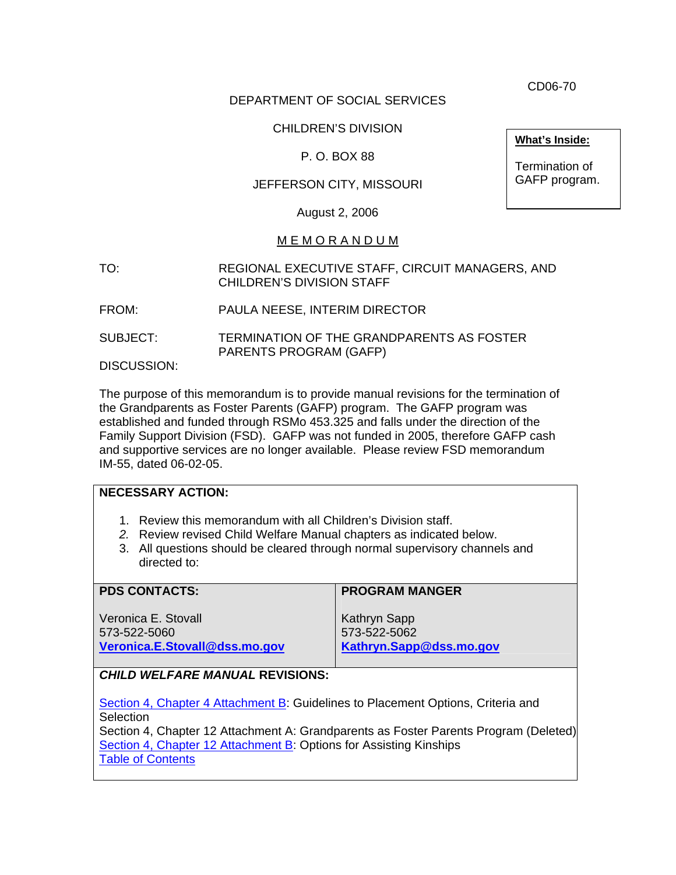CD06-70

### DEPARTMENT OF SOCIAL SERVICES

### CHILDREN'S DIVISION

#### P. O. BOX 88

#### JEFFERSON CITY, MISSOURI

August 2, 2006

#### M E M O R A N D U M

- TO: REGIONAL EXECUTIVE STAFF, CIRCUIT MANAGERS, AND CHILDREN'S DIVISION STAFF
- FROM: PAULA NEESE, INTERIM DIRECTOR
- SUBJECT: TERMINATION OF THE GRANDPARENTS AS FOSTER PARENTS PROGRAM (GAFP)

DISCUSSION:

The purpose of this memorandum is to provide manual revisions for the termination of the Grandparents as Foster Parents (GAFP) program. The GAFP program was established and funded through RSMo 453.325 and falls under the direction of the Family Support Division (FSD). GAFP was not funded in 2005, therefore GAFP cash and supportive services are no longer available. Please review FSD memorandum IM-55, dated 06-02-05.

| <b>NECESSARY ACTION:</b>                                                                                                                                                                                                           |                                                         |
|------------------------------------------------------------------------------------------------------------------------------------------------------------------------------------------------------------------------------------|---------------------------------------------------------|
| 1. Review this memorandum with all Children's Division staff.<br>2. Review revised Child Welfare Manual chapters as indicated below.<br>3. All questions should be cleared through normal supervisory channels and<br>directed to: |                                                         |
| <b>PDS CONTACTS:</b>                                                                                                                                                                                                               | <b>PROGRAM MANGER</b>                                   |
| Veronica E. Stovall<br>573-522-5060<br>Veronica.E.Stovall@dss.mo.gov                                                                                                                                                               | Kathryn Sapp<br>573-522-5062<br>Kathryn.Sapp@dss.mo.gov |
| <b>CHILD WELFARE MANUAL REVISIONS:</b>                                                                                                                                                                                             |                                                         |
| Section 4, Chapter 4 Attachment B: Guidelines to Placement Options, Criteria and<br>Selection                                                                                                                                      |                                                         |

Section 4, Chapter 12 Attachment A: Grandparents as Foster Parents Program (Deleted) [Section 4, Chapter 12 Attachment B:](http://www.dss.mo.gov/cd/info/cwmanual/section4/ch12/sec4ch12index.htm) Options for Assisting Kinships [Table of Contents](http://www.dss.mo.gov/cd/info/cwmanual/index.htm)

**What's Inside:**

Termination of GAFP program.